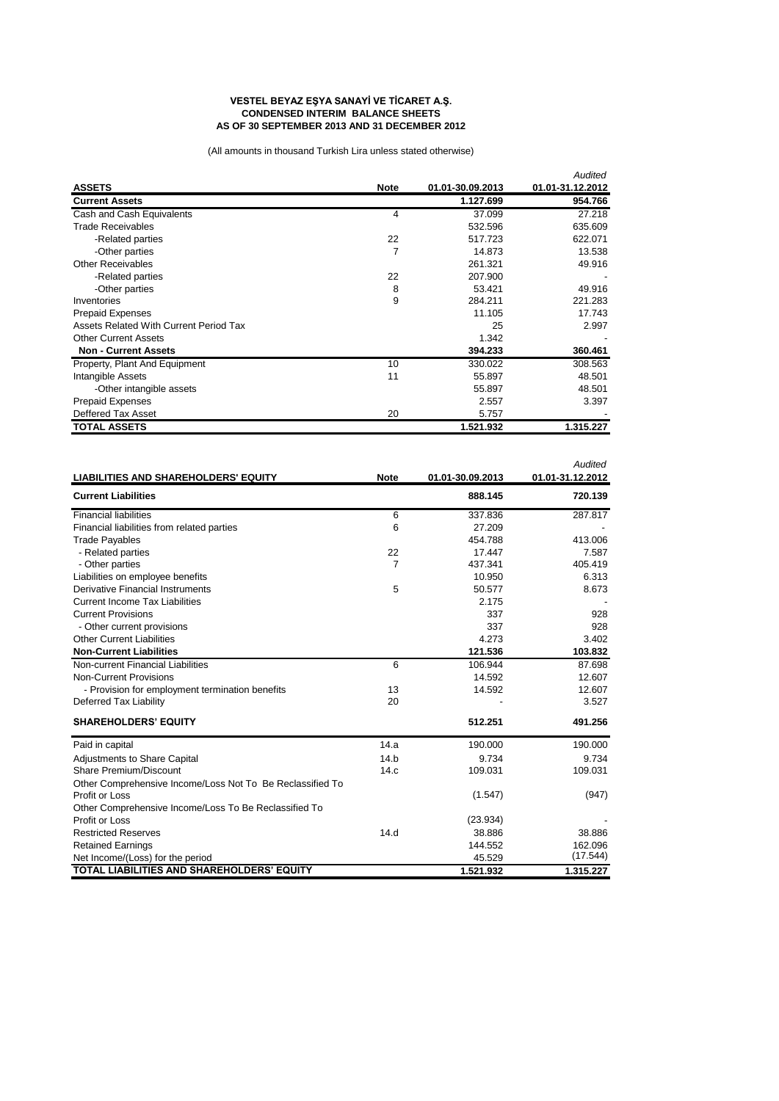## **VESTEL BEYAZ EŞYA SANAYİ VE TİCARET A.Ş. CONDENSED INTERIM BALANCE SHEETS AS OF 30 SEPTEMBER 2013 AND 31 DECEMBER 2012**

(All amounts in thousand Turkish Lira unless stated otherwise)

| <b>ASSETS</b>                          | <b>Note</b> | 01.01-30.09.2013 | Audited<br>01.01-31.12.2012 |
|----------------------------------------|-------------|------------------|-----------------------------|
| <b>Current Assets</b>                  |             | 1.127.699        | 954.766                     |
| Cash and Cash Equivalents              | 4           | 37.099           | 27.218                      |
| <b>Trade Receivables</b>               |             | 532.596          | 635.609                     |
| -Related parties                       | 22          | 517.723          | 622.071                     |
| -Other parties                         | 7           | 14.873           | 13.538                      |
| <b>Other Receivables</b>               |             | 261.321          | 49.916                      |
| -Related parties                       | 22          | 207.900          |                             |
| -Other parties                         | 8           | 53.421           | 49.916                      |
| Inventories                            | 9           | 284.211          | 221.283                     |
| <b>Prepaid Expenses</b>                |             | 11.105           | 17.743                      |
| Assets Related With Current Period Tax |             | 25               | 2.997                       |
| <b>Other Current Assets</b>            |             | 1.342            |                             |
| <b>Non - Current Assets</b>            |             | 394.233          | 360,461                     |
| Property, Plant And Equipment          | 10          | 330.022          | 308.563                     |
| Intangible Assets                      | 11          | 55.897           | 48.501                      |
| -Other intangible assets               |             | 55.897           | 48.501                      |
| Prepaid Expenses                       |             | 2.557            | 3.397                       |
| Deffered Tax Asset                     | 20          | 5.757            |                             |
| <b>TOTAL ASSETS</b>                    |             | 1.521.932        | 1.315.227                   |

| <b>LIABILITIES AND SHAREHOLDERS' EQUITY</b>               | <b>Note</b>    | 01.01-30.09.2013 | Audited<br>01.01-31.12.2012 |
|-----------------------------------------------------------|----------------|------------------|-----------------------------|
| <b>Current Liabilities</b>                                |                | 888.145          | 720.139                     |
| <b>Financial liabilities</b>                              | 6              | 337.836          | 287,817                     |
| Financial liabilities from related parties                | 6              | 27.209           |                             |
| <b>Trade Payables</b>                                     |                | 454.788          | 413.006                     |
| - Related parties                                         | 22             | 17.447           | 7.587                       |
| - Other parties                                           | $\overline{7}$ | 437.341          | 405.419                     |
| Liabilities on employee benefits                          |                | 10.950           | 6.313                       |
| Derivative Financial Instruments                          | 5              | 50.577           | 8.673                       |
| <b>Current Income Tax Liabilities</b>                     |                | 2.175            |                             |
| <b>Current Provisions</b>                                 |                | 337              | 928                         |
| - Other current provisions                                |                | 337              | 928                         |
| <b>Other Current Liabilities</b>                          |                | 4.273            | 3.402                       |
| <b>Non-Current Liabilities</b>                            |                | 121.536          | 103.832                     |
| Non-current Financial Liabilities                         | 6              | 106.944          | 87.698                      |
| <b>Non-Current Provisions</b>                             |                | 14.592           | 12.607                      |
| - Provision for employment termination benefits           | 13             | 14.592           | 12.607                      |
| Deferred Tax Liability                                    | 20             |                  | 3.527                       |
| <b>SHAREHOLDERS' EQUITY</b>                               |                | 512.251          | 491.256                     |
| Paid in capital                                           | 14.a           | 190.000          | 190.000                     |
| <b>Adjustments to Share Capital</b>                       | 14.b           | 9.734            | 9.734                       |
| Share Premium/Discount                                    | 14.c           | 109.031          | 109.031                     |
| Other Comprehensive Income/Loss Not To Be Reclassified To |                |                  |                             |
| Profit or Loss                                            |                | (1.547)          | (947)                       |
| Other Comprehensive Income/Loss To Be Reclassified To     |                |                  |                             |
| Profit or Loss                                            |                | (23.934)         |                             |
| <b>Restricted Reserves</b>                                | 14.d           | 38.886           | 38.886                      |
| <b>Retained Earnings</b>                                  |                | 144.552          | 162.096                     |
| Net Income/(Loss) for the period                          |                | 45.529           | (17.544)                    |
| TOTAL LIABILITIES AND SHAREHOLDERS' EQUITY                |                | 1.521.932        | 1.315.227                   |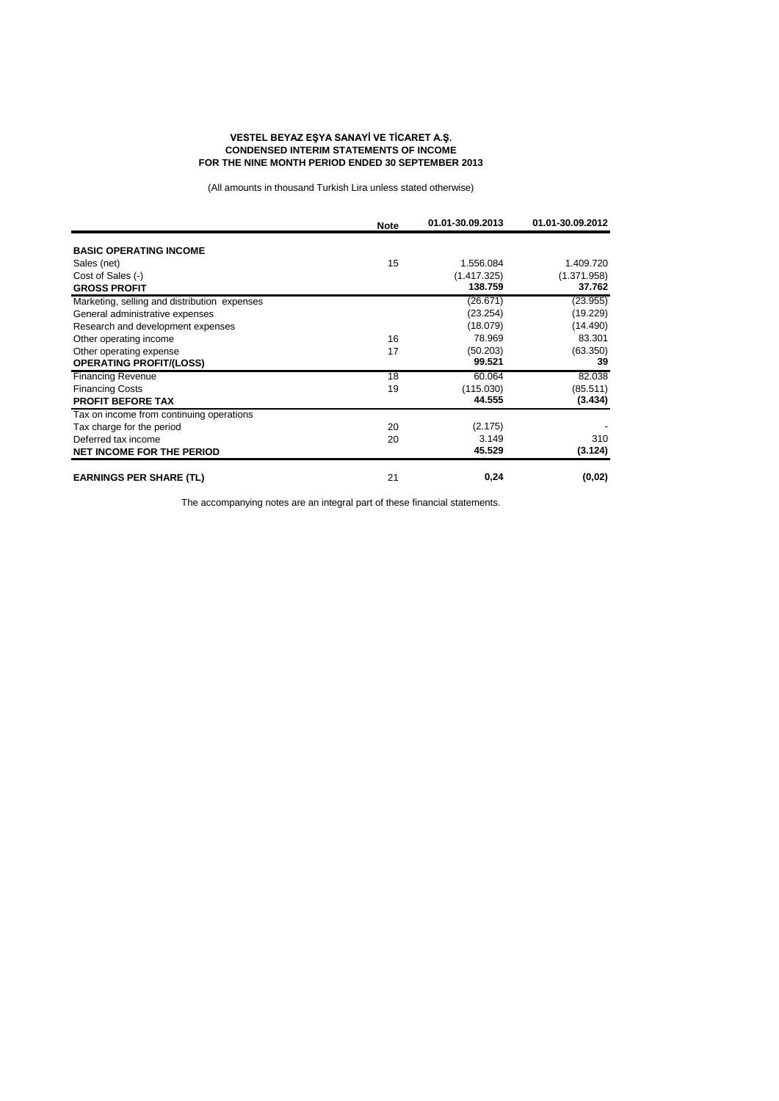## **VESTEL BEYAZ EŞYA SANAYİ VE TİCARET A.Ş. CONDENSED INTERIM STATEMENTS OF INCOME FOR THE NINE MONTH PERIOD ENDED 30 SEPTEMBER 2013**

(All amounts in thousand Turkish Lira unless stated otherwise)

|                                              | <b>Note</b> | 01.01-30.09.2013 | 01.01-30.09.2012 |
|----------------------------------------------|-------------|------------------|------------------|
| <b>BASIC OPERATING INCOME</b>                |             |                  |                  |
| Sales (net)                                  | 15          | 1.556.084        | 1.409.720        |
| Cost of Sales (-)                            |             | (1.417.325)      | (1.371.958)      |
| <b>GROSS PROFIT</b>                          |             | 138.759          | 37.762           |
| Marketing, selling and distribution expenses |             | (26.671)         | (23.955)         |
| General administrative expenses              |             | (23.254)         | (19.229)         |
| Research and development expenses            |             | (18.079)         | (14.490)         |
| Other operating income                       | 16          | 78.969           | 83.301           |
| Other operating expense                      | 17          | (50.203)         | (63.350)         |
| <b>OPERATING PROFIT/(LOSS)</b>               |             | 99.521           | 39               |
| <b>Financing Revenue</b>                     | 18          | 60.064           | 82.038           |
| <b>Financing Costs</b>                       | 19          | (115.030)        | (85.511)         |
| <b>PROFIT BEFORE TAX</b>                     |             | 44.555           | (3.434)          |
| Tax on income from continuing operations     |             |                  |                  |
| Tax charge for the period                    | 20          | (2.175)          |                  |
| Deferred tax income                          | 20          | 3.149            | 310              |
| <b>NET INCOME FOR THE PERIOD</b>             |             | 45.529           | (3.124)          |
| <b>EARNINGS PER SHARE (TL)</b>               | 21          | 0,24             | (0,02)           |

The accompanying notes are an integral part of these financial statements.